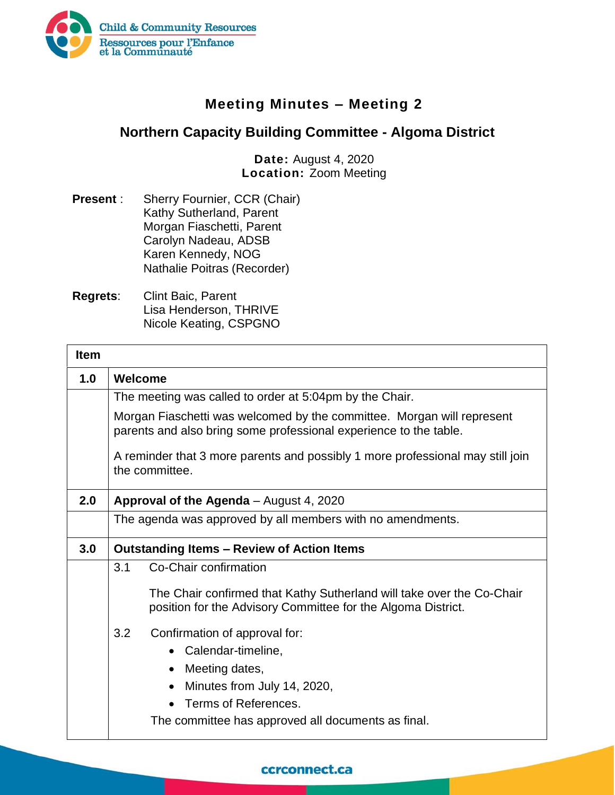

## **Meeting Minutes – Meeting 2**

## **Northern Capacity Building Committee - Algoma District**

**Date:** August 4, 2020 **Location:** Zoom Meeting

- **Present** : Sherry Fournier, CCR (Chair) Kathy Sutherland, Parent Morgan Fiaschetti, Parent Carolyn Nadeau, ADSB Karen Kennedy, NOG Nathalie Poitras (Recorder)
- **Regrets**: Clint Baic, Parent Lisa Henderson, THRIVE Nicole Keating, CSPGNO

| <b>Item</b> |                                                   |                                                                                                                                             |  |
|-------------|---------------------------------------------------|---------------------------------------------------------------------------------------------------------------------------------------------|--|
| 1.0         | Welcome                                           |                                                                                                                                             |  |
|             |                                                   | The meeting was called to order at 5:04pm by the Chair.                                                                                     |  |
|             |                                                   | Morgan Fiaschetti was welcomed by the committee. Morgan will represent<br>parents and also bring some professional experience to the table. |  |
|             |                                                   | A reminder that 3 more parents and possibly 1 more professional may still join<br>the committee.                                            |  |
| 2.0         | Approval of the Agenda - August 4, 2020           |                                                                                                                                             |  |
|             |                                                   | The agenda was approved by all members with no amendments.                                                                                  |  |
| 3.0         | <b>Outstanding Items – Review of Action Items</b> |                                                                                                                                             |  |
|             | 3.1                                               | Co-Chair confirmation                                                                                                                       |  |
|             |                                                   | The Chair confirmed that Kathy Sutherland will take over the Co-Chair<br>position for the Advisory Committee for the Algoma District.       |  |
|             | 3.2                                               | Confirmation of approval for:                                                                                                               |  |
|             |                                                   | Calendar-timeline,                                                                                                                          |  |
|             |                                                   | Meeting dates,                                                                                                                              |  |
|             |                                                   | Minutes from July 14, 2020,                                                                                                                 |  |
|             |                                                   | Terms of References.                                                                                                                        |  |
|             |                                                   | The committee has approved all documents as final.                                                                                          |  |

## ccrconnect.ca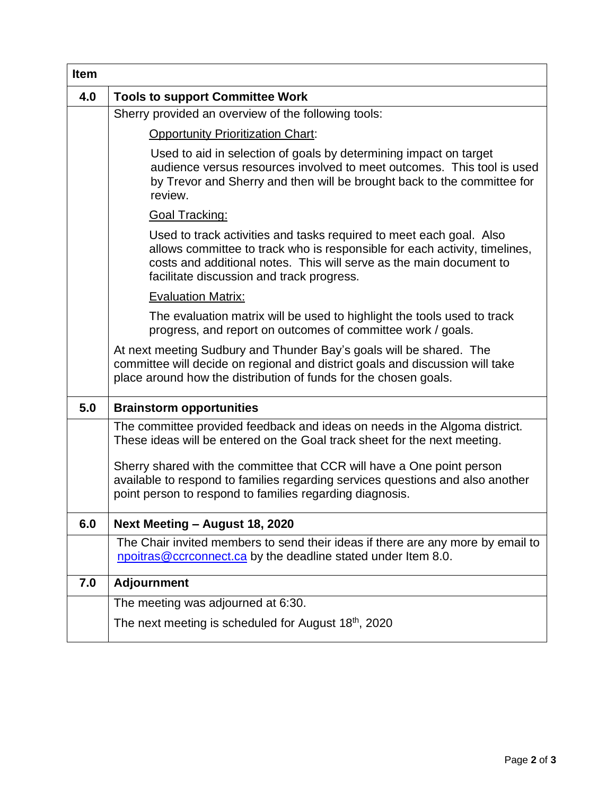| <b>Item</b> |                                                                                                                                                                                                                                                                       |
|-------------|-----------------------------------------------------------------------------------------------------------------------------------------------------------------------------------------------------------------------------------------------------------------------|
| 4.0         | <b>Tools to support Committee Work</b>                                                                                                                                                                                                                                |
|             | Sherry provided an overview of the following tools:                                                                                                                                                                                                                   |
|             | <b>Opportunity Prioritization Chart:</b>                                                                                                                                                                                                                              |
|             | Used to aid in selection of goals by determining impact on target<br>audience versus resources involved to meet outcomes. This tool is used<br>by Trevor and Sherry and then will be brought back to the committee for<br>review.                                     |
|             | <b>Goal Tracking:</b>                                                                                                                                                                                                                                                 |
|             | Used to track activities and tasks required to meet each goal. Also<br>allows committee to track who is responsible for each activity, timelines,<br>costs and additional notes. This will serve as the main document to<br>facilitate discussion and track progress. |
|             | <b>Evaluation Matrix:</b>                                                                                                                                                                                                                                             |
|             | The evaluation matrix will be used to highlight the tools used to track<br>progress, and report on outcomes of committee work / goals.                                                                                                                                |
|             | At next meeting Sudbury and Thunder Bay's goals will be shared. The<br>committee will decide on regional and district goals and discussion will take<br>place around how the distribution of funds for the chosen goals.                                              |
| 5.0         | <b>Brainstorm opportunities</b>                                                                                                                                                                                                                                       |
|             | The committee provided feedback and ideas on needs in the Algoma district.<br>These ideas will be entered on the Goal track sheet for the next meeting.                                                                                                               |
|             | Sherry shared with the committee that CCR will have a One point person<br>available to respond to families regarding services questions and also another<br>point person to respond to families regarding diagnosis.                                                  |
| 6.0         | Next Meeting - August 18, 2020                                                                                                                                                                                                                                        |
|             | The Chair invited members to send their ideas if there are any more by email to<br>npoitras@ccrconnect.ca by the deadline stated under Item 8.0.                                                                                                                      |
| 7.0         | <b>Adjournment</b>                                                                                                                                                                                                                                                    |
|             | The meeting was adjourned at 6:30.                                                                                                                                                                                                                                    |
|             | The next meeting is scheduled for August $18th$ , 2020                                                                                                                                                                                                                |